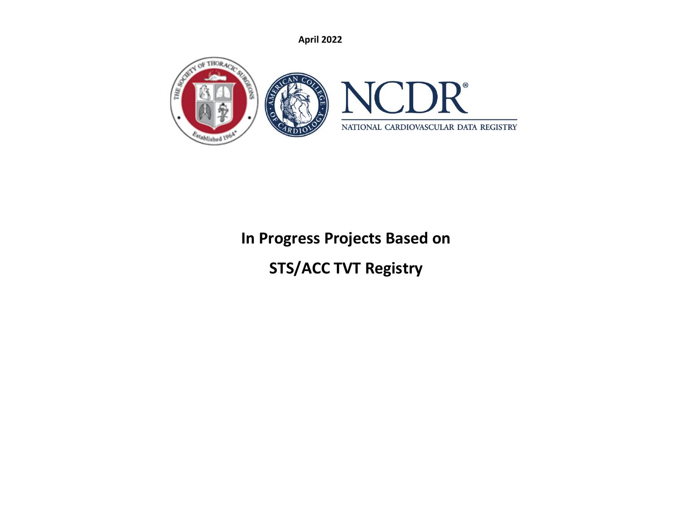

# **In Progress Projects Based on**

# **STS/ACC TVT Registry**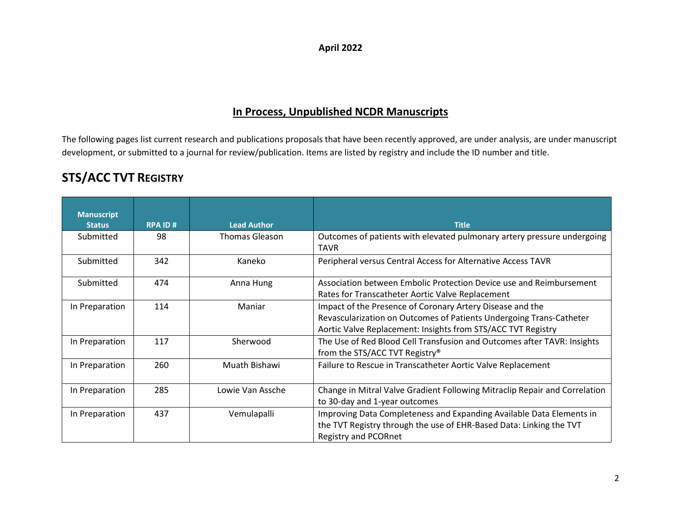## **In Process, Unpublished NCDR Manuscripts**

The following pages list current research and publications proposals that have been recently approved, are under analysis, are under manuscript development, or submitted to a journal for review/publication. Items are listed by registry and include the ID number and title.

# **STS/ACC TVT REGISTRY**

| <b>Manuscript</b> |               |                    |                                                                                        |
|-------------------|---------------|--------------------|----------------------------------------------------------------------------------------|
| <b>Status</b>     | <b>RPAID#</b> | <b>Lead Author</b> | <b>Title</b>                                                                           |
| Submitted         | 98            | Thomas Gleason     | Outcomes of patients with elevated pulmonary artery pressure undergoing<br><b>TAVR</b> |
| Submitted         | 342           | Kaneko             | Peripheral versus Central Access for Alternative Access TAVR                           |
| Submitted         | 474           | Anna Hung          | Association between Embolic Protection Device use and Reimbursement                    |
|                   |               |                    | Rates for Transcatheter Aortic Valve Replacement                                       |
| In Preparation    | 114           | Maniar             | Impact of the Presence of Coronary Artery Disease and the                              |
|                   |               |                    | Revascularization on Outcomes of Patients Undergoing Trans-Catheter                    |
|                   |               |                    | Aortic Valve Replacement: Insights from STS/ACC TVT Registry                           |
| In Preparation    | 117           | Sherwood           | The Use of Red Blood Cell Transfusion and Outcomes after TAVR: Insights                |
|                   |               |                    | from the STS/ACC TVT Registry <sup>®</sup>                                             |
| In Preparation    | 260           | Muath Bishawi      | Failure to Rescue in Transcatheter Aortic Valve Replacement                            |
| In Preparation    | 285           | Lowie Van Assche   | Change in Mitral Valve Gradient Following Mitraclip Repair and Correlation             |
|                   |               |                    | to 30-day and 1-year outcomes                                                          |
| In Preparation    | 437           | Vemulapalli        | Improving Data Completeness and Expanding Available Data Elements in                   |
|                   |               |                    | the TVT Registry through the use of EHR-Based Data: Linking the TVT                    |
|                   |               |                    | <b>Registry and PCORnet</b>                                                            |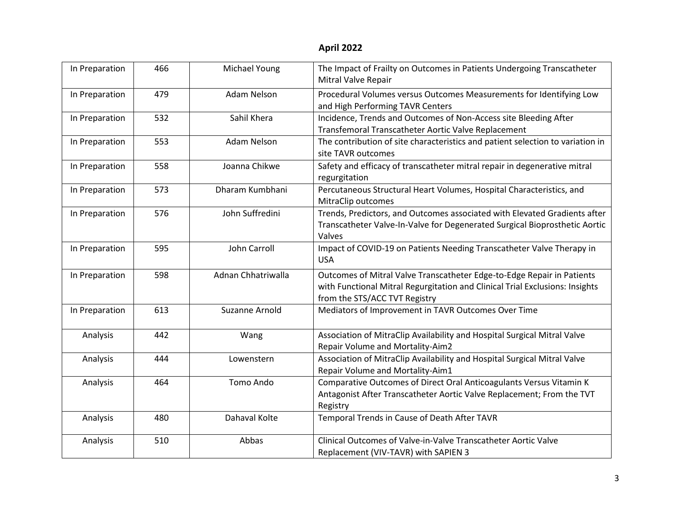| In Preparation | 466 | Michael Young      | The Impact of Frailty on Outcomes in Patients Undergoing Transcatheter<br>Mitral Valve Repair                                                                                           |
|----------------|-----|--------------------|-----------------------------------------------------------------------------------------------------------------------------------------------------------------------------------------|
| In Preparation | 479 | Adam Nelson        | Procedural Volumes versus Outcomes Measurements for Identifying Low<br>and High Performing TAVR Centers                                                                                 |
| In Preparation | 532 | Sahil Khera        | Incidence, Trends and Outcomes of Non-Access site Bleeding After<br>Transfemoral Transcatheter Aortic Valve Replacement                                                                 |
| In Preparation | 553 | Adam Nelson        | The contribution of site characteristics and patient selection to variation in<br>site TAVR outcomes                                                                                    |
| In Preparation | 558 | Joanna Chikwe      | Safety and efficacy of transcatheter mitral repair in degenerative mitral<br>regurgitation                                                                                              |
| In Preparation | 573 | Dharam Kumbhani    | Percutaneous Structural Heart Volumes, Hospital Characteristics, and<br>MitraClip outcomes                                                                                              |
| In Preparation | 576 | John Suffredini    | Trends, Predictors, and Outcomes associated with Elevated Gradients after<br>Transcatheter Valve-In-Valve for Degenerated Surgical Bioprosthetic Aortic<br>Valves                       |
| In Preparation | 595 | John Carroll       | Impact of COVID-19 on Patients Needing Transcatheter Valve Therapy in<br><b>USA</b>                                                                                                     |
| In Preparation | 598 | Adnan Chhatriwalla | Outcomes of Mitral Valve Transcatheter Edge-to-Edge Repair in Patients<br>with Functional Mitral Regurgitation and Clinical Trial Exclusions: Insights<br>from the STS/ACC TVT Registry |
| In Preparation | 613 | Suzanne Arnold     | Mediators of Improvement in TAVR Outcomes Over Time                                                                                                                                     |
| Analysis       | 442 | Wang               | Association of MitraClip Availability and Hospital Surgical Mitral Valve<br>Repair Volume and Mortality-Aim2                                                                            |
| Analysis       | 444 | Lowenstern         | Association of MitraClip Availability and Hospital Surgical Mitral Valve<br>Repair Volume and Mortality-Aim1                                                                            |
| Analysis       | 464 | Tomo Ando          | Comparative Outcomes of Direct Oral Anticoagulants Versus Vitamin K<br>Antagonist After Transcatheter Aortic Valve Replacement; From the TVT<br>Registry                                |
| Analysis       | 480 | Dahaval Kolte      | Temporal Trends in Cause of Death After TAVR                                                                                                                                            |
| Analysis       | 510 | Abbas              | Clinical Outcomes of Valve-in-Valve Transcatheter Aortic Valve<br>Replacement (VIV-TAVR) with SAPIEN 3                                                                                  |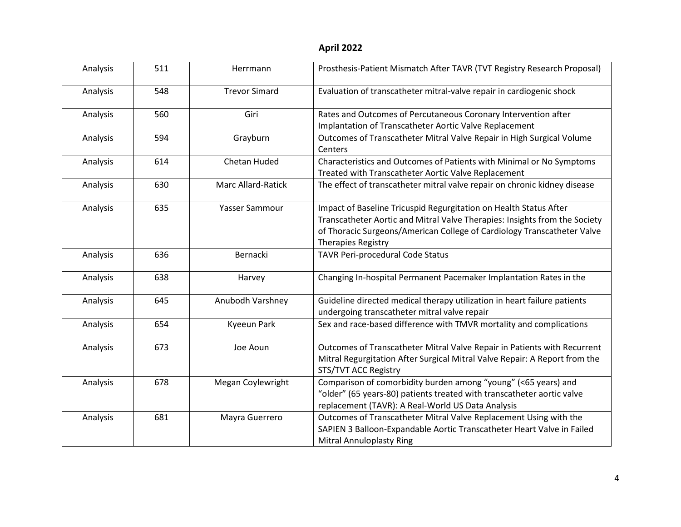| Analysis | 511 | Herrmann                  | Prosthesis-Patient Mismatch After TAVR (TVT Registry Research Proposal)                                                                                                                                                                          |
|----------|-----|---------------------------|--------------------------------------------------------------------------------------------------------------------------------------------------------------------------------------------------------------------------------------------------|
| Analysis | 548 | <b>Trevor Simard</b>      | Evaluation of transcatheter mitral-valve repair in cardiogenic shock                                                                                                                                                                             |
| Analysis | 560 | Giri                      | Rates and Outcomes of Percutaneous Coronary Intervention after<br>Implantation of Transcatheter Aortic Valve Replacement                                                                                                                         |
| Analysis | 594 | Grayburn                  | Outcomes of Transcatheter Mitral Valve Repair in High Surgical Volume<br>Centers                                                                                                                                                                 |
| Analysis | 614 | Chetan Huded              | Characteristics and Outcomes of Patients with Minimal or No Symptoms<br>Treated with Transcatheter Aortic Valve Replacement                                                                                                                      |
| Analysis | 630 | <b>Marc Allard-Ratick</b> | The effect of transcatheter mitral valve repair on chronic kidney disease                                                                                                                                                                        |
| Analysis | 635 | Yasser Sammour            | Impact of Baseline Tricuspid Regurgitation on Health Status After<br>Transcatheter Aortic and Mitral Valve Therapies: Insights from the Society<br>of Thoracic Surgeons/American College of Cardiology Transcatheter Valve<br>Therapies Registry |
| Analysis | 636 | Bernacki                  | TAVR Peri-procedural Code Status                                                                                                                                                                                                                 |
| Analysis | 638 | Harvey                    | Changing In-hospital Permanent Pacemaker Implantation Rates in the                                                                                                                                                                               |
| Analysis | 645 | Anubodh Varshney          | Guideline directed medical therapy utilization in heart failure patients<br>undergoing transcatheter mitral valve repair                                                                                                                         |
| Analysis | 654 | Kyeeun Park               | Sex and race-based difference with TMVR mortality and complications                                                                                                                                                                              |
| Analysis | 673 | Joe Aoun                  | Outcomes of Transcatheter Mitral Valve Repair in Patients with Recurrent<br>Mitral Regurgitation After Surgical Mitral Valve Repair: A Report from the<br>STS/TVT ACC Registry                                                                   |
| Analysis | 678 | Megan Coylewright         | Comparison of comorbidity burden among "young" (<65 years) and<br>"older" (65 years-80) patients treated with transcatheter aortic valve<br>replacement (TAVR): A Real-World US Data Analysis                                                    |
| Analysis | 681 | Mayra Guerrero            | Outcomes of Transcatheter Mitral Valve Replacement Using with the<br>SAPIEN 3 Balloon-Expandable Aortic Transcatheter Heart Valve in Failed<br><b>Mitral Annuloplasty Ring</b>                                                                   |